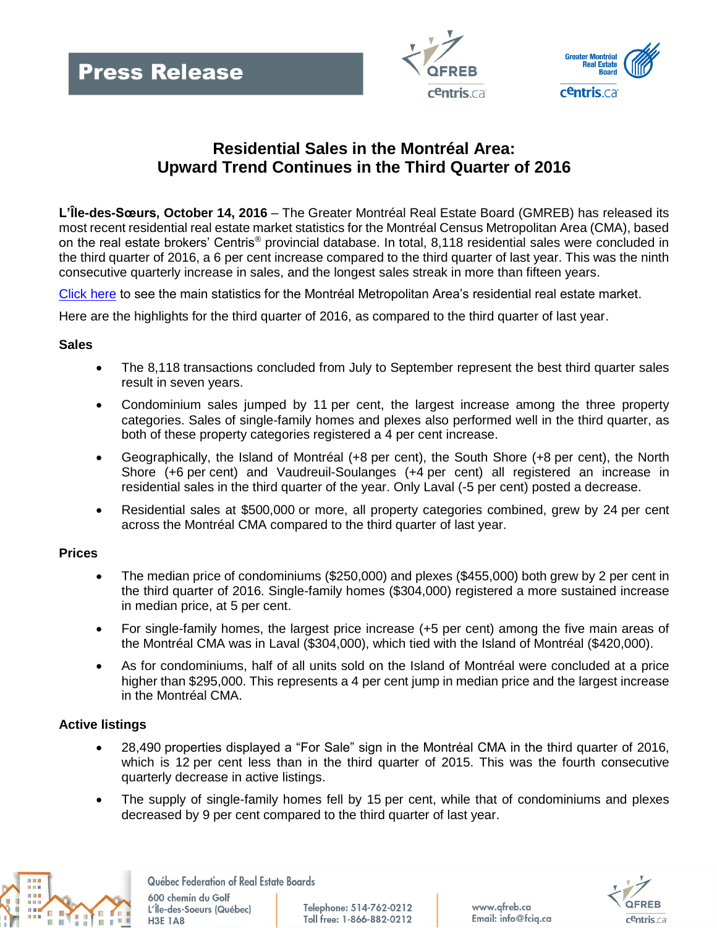



# **Residential Sales in the Montréal Area: Upward Trend Continues in the Third Quarter of 2016**

**L'Île-des-Sœurs, October 14, 2016** – The Greater Montréal Real Estate Board (GMREB) has released its most recent residential real estate market statistics for the Montréal Census Metropolitan Area (CMA), based on the real estate brokers' Centris® provincial database. In total, 8,118 residential sales were concluded in the third quarter of 2016, a 6 per cent increase compared to the third quarter of last year. This was the ninth consecutive quarterly increase in sales, and the longest sales streak in more than fifteen years.

[Click here](http://www.fciq.ca/images/comm/201603_montreal_en.jpg) to see the main statistics for the Montréal Metropolitan Area's residential real estate market.

Here are the highlights for the third quarter of 2016, as compared to the third quarter of last year.

### **Sales**

- The 8,118 transactions concluded from July to September represent the best third quarter sales result in seven years.
- Condominium sales jumped by 11 per cent, the largest increase among the three property categories. Sales of single-family homes and plexes also performed well in the third quarter, as both of these property categories registered a 4 per cent increase.
- Geographically, the Island of Montréal (+8 per cent), the South Shore (+8 per cent), the North Shore (+6 per cent) and Vaudreuil-Soulanges (+4 per cent) all registered an increase in residential sales in the third quarter of the year. Only Laval (-5 per cent) posted a decrease.
- Residential sales at \$500,000 or more, all property categories combined, grew by 24 per cent across the Montréal CMA compared to the third quarter of last year.

### **Prices**

- The median price of condominiums (\$250,000) and plexes (\$455,000) both grew by 2 per cent in the third quarter of 2016. Single-family homes (\$304,000) registered a more sustained increase in median price, at 5 per cent.
- For single-family homes, the largest price increase (+5 per cent) among the five main areas of the Montréal CMA was in Laval (\$304,000), which tied with the Island of Montréal (\$420,000).
- As for condominiums, half of all units sold on the Island of Montréal were concluded at a price higher than \$295,000. This represents a 4 per cent jump in median price and the largest increase in the Montréal CMA.

## **Active listings**

- 28,490 properties displayed a "For Sale" sign in the Montréal CMA in the third quarter of 2016, which is 12 per cent less than in the third quarter of 2015. This was the fourth consecutive quarterly decrease in active listings.
- The supply of single-family homes fell by 15 per cent, while that of condominiums and plexes decreased by 9 per cent compared to the third quarter of last year.



Québec Federation of Real Estate Boards

600 chemin du Golf L'Île-des-Soeurs (Québec) **H3E 1A8** 

Telephone: 514-762-0212 Toll free: 1-866-882-0212 www.qfreb.ca Email: info@fcig.ca

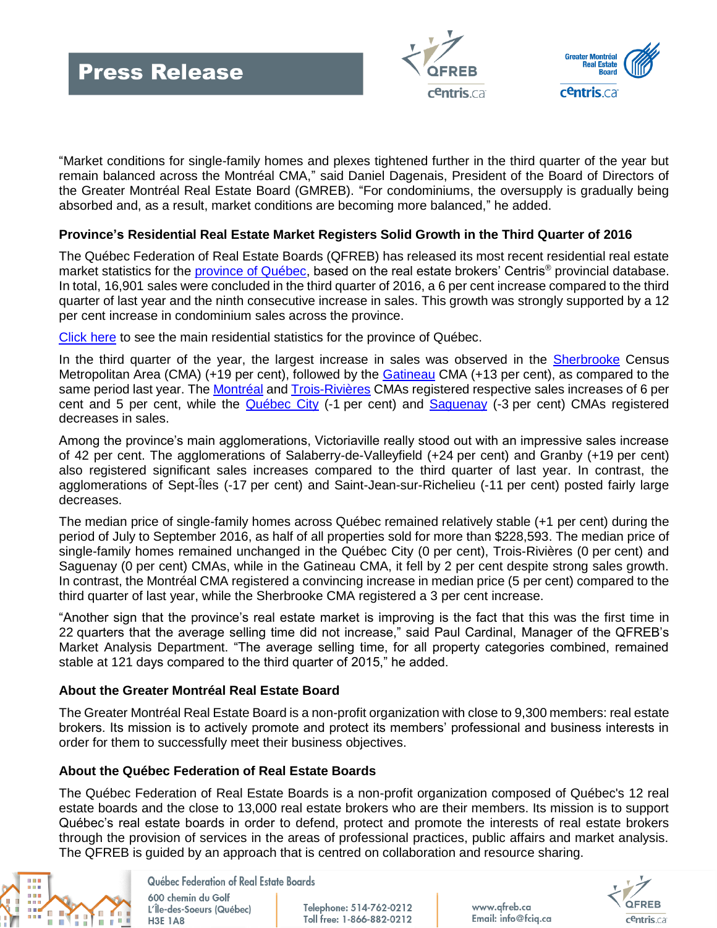



"Market conditions for single-family homes and plexes tightened further in the third quarter of the year but remain balanced across the Montréal CMA," said Daniel Dagenais, President of the Board of Directors of the Greater Montréal Real Estate Board (GMREB). "For condominiums, the oversupply is gradually being absorbed and, as a result, market conditions are becoming more balanced," he added.

## **Province's Residential Real Estate Market Registers Solid Growth in the Third Quarter of 2016**

The Québec Federation of Real Estate Boards (QFREB) has released its most recent residential real estate market statistics for the [province of Québec,](http://www.fciq.ca/pdf/Communiques_presse/stats/stats_q3_2016_a.pdf#page=3) based on the real estate brokers' Centris® provincial database. In total, 16,901 sales were concluded in the third quarter of 2016, a 6 per cent increase compared to the third quarter of last year and the ninth consecutive increase in sales. This growth was strongly supported by a 12 per cent increase in condominium sales across the province.

[Click here](http://www.fciq.ca/images/comm/201603_province_en.jpg) to see the main residential statistics for the province of Québec.

In the third quarter of the year, the largest increase in sales was observed in the [Sherbrooke](http://www.fciq.ca/pdf/Communiques_presse/stats/stats_q3_2016_a.pdf#page=8) Census Metropolitan Area (CMA) (+19 per cent), followed by the [Gatineau](http://www.fciq.ca/pdf/Communiques_presse/stats/stats_q3_2016_a.pdf#page=4) CMA (+13 per cent), as compared to the same period last year. The [Montréal](http://www.fciq.ca/pdf/Communiques_presse/stats/stats_q3_2016_a.pdf#page=5) and [Trois-Rivières](http://www.fciq.ca/pdf/Communiques_presse/stats/stats_q3_2016_a.pdf#page=9) CMAs registered respective sales increases of 6 per cent and 5 per cent, while the [Québec City](http://www.fciq.ca/pdf/Communiques_presse/stats/stats_q3_2016_a.pdf#page=6) (-1 per cent) and [Saguenay](http://www.fciq.ca/pdf/Communiques_presse/stats/stats_q3_2016_a.pdf#page=7) (-3 per cent) CMAs registered decreases in sales.

Among the province's main agglomerations, Victoriaville really stood out with an impressive sales increase of 42 per cent. The agglomerations of Salaberry-de-Valleyfield (+24 per cent) and Granby (+19 per cent) also registered significant sales increases compared to the third quarter of last year. In contrast, the agglomerations of Sept-Îles (-17 per cent) and Saint-Jean-sur-Richelieu (-11 per cent) posted fairly large decreases.

The median price of single-family homes across Québec remained relatively stable (+1 per cent) during the period of July to September 2016, as half of all properties sold for more than \$228,593. The median price of single-family homes remained unchanged in the Québec City (0 per cent), Trois-Rivières (0 per cent) and Saguenay (0 per cent) CMAs, while in the Gatineau CMA, it fell by 2 per cent despite strong sales growth. In contrast, the Montréal CMA registered a convincing increase in median price (5 per cent) compared to the third quarter of last year, while the Sherbrooke CMA registered a 3 per cent increase.

"Another sign that the province's real estate market is improving is the fact that this was the first time in 22 quarters that the average selling time did not increase," said Paul Cardinal, Manager of the QFREB's Market Analysis Department. "The average selling time, for all property categories combined, remained stable at 121 days compared to the third quarter of 2015," he added.

### **About the Greater Montréal Real Estate Board**

The Greater Montréal Real Estate Board is a non-profit organization with close to 9,300 members: real estate brokers. Its mission is to actively promote and protect its members' professional and business interests in order for them to successfully meet their business objectives.

## **About the Québec Federation of Real Estate Boards**

The Québec Federation of Real Estate Boards is a non-profit organization composed of Québec's 12 real estate boards and the close to 13,000 real estate brokers who are their members. Its mission is to support Québec's real estate boards in order to defend, protect and promote the interests of real estate brokers through the provision of services in the areas of professional practices, public affairs and market analysis. The QFREB is guided by an approach that is centred on collaboration and resource sharing.



Québec Federation of Real Estate Boards

600 chemin du Golf L'Île-des-Soeurs (Québec) **H3E 1A8** 

Telephone: 514-762-0212 Toll free: 1-866-882-0212 www.qfreb.ca Email: info@fcig.ca